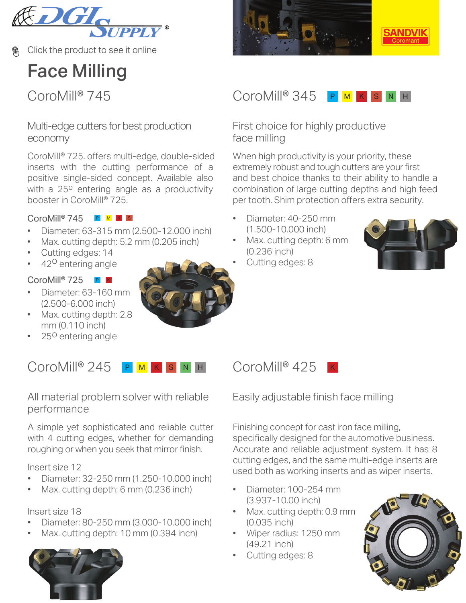

Click the product to see it online

# Face Milling

### [Multi-edge cutters for best production](https://www.sandvik.coromant.com/en-gb/products/coromill_745/pages/default.aspx?utm_source=share&utm_medium=pdf&utm_campaign=q3-mill-camp-2020)  economy

inserts with the cutting performance of a positive single-sided concept. Available also with a 25° entering angle as a productivity booster in CoroMill® 725. CoroMill® 725. offers multi-edge, double-sided

### $Coro$ Mill® 745 P M K s

- [Diameter: 63-315 mm \(2.500-12.000 inch\)](https://www.sandvik.coromant.com/en-gb/products/coromill_745/pages/default.aspx?utm_source=share&utm_medium=pdf&utm_campaign=q3-mill-camp-2020)
- Max. cutting depth: 5.2 mm (0.205 inch)
- Cutting edges: 14
- $\cdot$  42<sup>0</sup> entering angle

### CoroMill® /25 PI

- Diameter: 63-160 mm (2.500-6.000 inch)
- Max. cutting depth: 2.8 mm (0.110 inch)
- 25<sup>0</sup> entering angle

#### CoroMill® 245 P M K S N H CoroMill® 425 P <mark>M K S</mark> N H

[All material problem solver with reliable](https://www.sandvik.coromant.com/en-gb/products/coromill_245/pages/default.aspx?utm_source=share&utm_medium=pdf&utm_campaign=q3-mill-camp-2020)  performance

A simple yet sophisticated and reliable cutter with 4 cutting edges, whether for demanding roughing or when you seek that mirror finish.

Insert size 12

- Diameter: 32-250 mm (1.250-10.000 inch)
- Max. cutting depth: 6 mm (0.236 inch)

### Insert size 18

- Diameter: 80-250 mm (3.000-10.000 inch)
- Max. cutting depth: 10 mm (0.394 inch)







# SANDV

#### CoroMill® 745 CoroMill® 345 P <mark>M K S</mark> N H

First choice for highly productive face milling

When high productivity is your priority, these extremely robust and tough cutters are your first and best choice thanks to their ability to handle a combination of large cutting depths and high feed [per tooth. Shim protection offers extra security.](https://www.sandvik.coromant.com/en-gb/products/coromill_345/pages/default.aspx?utm_source=share&utm_medium=pdf&utm_campaign=q3-mill-camp-2020)

- Diameter: 40-250 mm (1.500-10.000 inch)
- Max. cutting depth: 6 mm (0.236 inch)
- Cutting edges: 8



K

Easily adjustable finish face milling

Finishing concept for cast iron face milling, [specifically designed for the automotive business.](https://www.sandvik.coromant.com/en-gb/products/coromill_425/pages/default.aspx?utm_source=share&utm_medium=pdf&utm_campaign=q3-mill-camp-2020) Accurate and reliable adjustment system. It has 8 cutting edges, and the same multi-edge inserts are used both as working inserts and as wiper inserts.

- Diameter: 100-254 mm (3.937-10.00 inch)
- Max. cutting depth: 0.9 mm (0.035 inch)
- Wiper radius: 1250 mm (49.21 inch)
- Cutting edges: 8